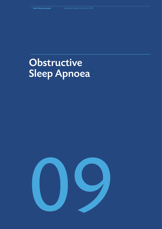# **Obstructive** Sleep Apnoea

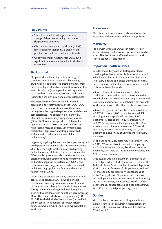### **Key Points**

- Sleep disordered breathing encompasses a range of disorders including obstructive sleep apnoea syndrome
- Obstructive sleep apnoea syndrome (OSAS) is increasingly recognised as a public health problem both in Ireland and internationally
- Obesity is a major risk factor for OSAS but a significant minority of affected individuals are non-obese

#### **Background**

Sleep disordered breathing includes a range of conditions which result in abnormal breathing during sleep. The disordered breathing ranges from intermittent, partial obstruction of the airway without sleep disturbance (snoring) to frequent apnoeas associated with repetitive hypoxaemia and arousals leading to sleep disruption and daytime sleepiness*<sup>1</sup>* .

The most common form of sleep disordered breathing is obstructive sleep apnoea (OSA). OSA leads to intermittent obstruction of the airway during sleep, leading to sleep disruption and daytime somnolescence. The condition is also known as obstructive sleep apnoea/hypopnoea syndrome (OSAHS). OSA is an independent risk factor for hypertension and is associated with an increased risk of cardiovascular disease, abnormal glucose metabolism, depression and sleepiness related accidents with their attendant morbidity and mortality*<sup>2</sup>* .

In general, anything that narrows the upper airway will predispose an individual to obstructive sleep apnoea. Obesity is the single most common predisposing factor, but other risk factors for the development of OSA include upper airway abnormality, endocrine disorders including acromegaly and hypothyroidism and postmenopausal state (females)*<sup>2</sup>* . OSA is also more common in pregnancy and is also associated with increasing age, lifestyle factors and muscle relaxant medications.

Other sleep disordered breathing conditions include central sleep apnoea (CSA), in which periodic cessation of breathing occurs without obstruction of the airway and obesity hypoventilation syndrome (OHS), in which breathing is reduced during both sleep and wakefulness, with or without accompanying OSA*<sup>1</sup>* . This chapter deals with Sleep Apnoea (ICD 10: G47.3) which includes sleep apnoea (unspecified, other), central sleep apnoea, obstructive sleep apnoea syndrome (OSAS) and sleep hypoventilation syndrome.

### **Prevalence**

There is no national data currently available on the prevalence of sleep apnoea in the Irish population.

#### **Mortality**

People with untreated OSA are at greater risk of life-threatening conditions such as stroke and cardiac arrest. The risk of road traffic accidents and work related accidents is also higher.

#### **Impact on health services**

Data for those diagnosed with sleep disordered breathing disorders is not available at national level in Ireland, nor is data available for numbers for whom respiratory aids and appliances are provided to treat these conditions, either for the population as a whole or those with medical cards.

In terms of impact on hospital services, these conditions, if dealt with at hospital level, are in the main dealt with both by Outpatient Departments and respiratory laboratories. National data is not available for this latter service other than for those hospitalised.

In terms of day cases and inpatient hospitalisations, in 2007 there were 1,203 hospitalisations in HIPE reporting acute hospitals (43 day cases, 1,160 inpatients). A decade later in 2016, this had risen to 2,241 (74 day cases, 2,167 inpatients). This 2,167 inpatient hospitalisations represented 2.3% of all respiratory inpatient hospitalisations, and 2,755 inpatient bed days (0.5% of all inpatient respiratory bed days).

Of all sleep apnoea day cases reported through HIPE in 2016, 28% were classified as major complexity and 72% as minor complexity. For those treated as inpatients, 24% were classed as major complexity and 76% as minor complexity*<sup>3</sup>* .

Sleep studies was ranked number 18 of the top 20 principal procedures blocks for inpatients listed in The Activity in Acute Public Hospitals in Ireland Report for 2016 accounting for 0.9% of all inpatient procedures*<sup>3</sup>* . (Of these top 20 procedures, five related to child birth). Among the top 20 principal procedures on elective inpatients, sleep studies were 4<sup>th</sup> while among the top 10 AR-DRGs, sleep apnoea was 9<sup>th 3</sup>. Of the elective inpatient hospitalisations, sleep disorders was listed 4<sup>th</sup> in the top 20 principal diagnoses<sup>3</sup>.

## **Gender**

Irish population prevalence data by gender is not available. In terms of data from hospitalisations the ratio of males to females in 2007 was 4:1 while in 2016 it was 2:1.